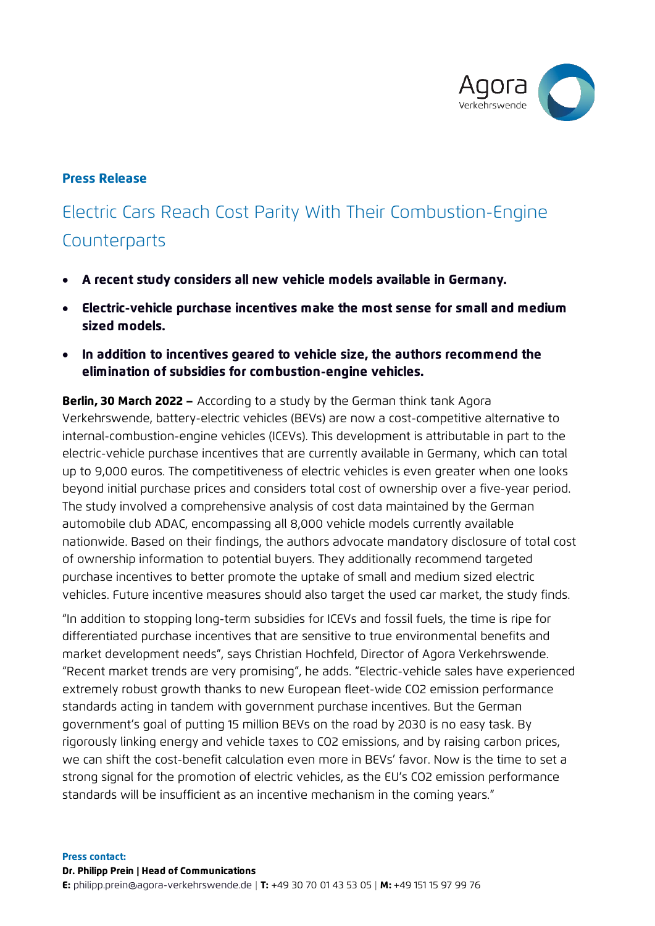

## Press Release

# Electric Cars Reach Cost Parity With Their Combustion-Engine **Counterparts**

- A recent study considers all new vehicle models available in Germany.
- Electric-vehicle purchase incentives make the most sense for small and medium sized models.
- In addition to incentives geared to vehicle size, the authors recommend the elimination of subsidies for combustion-engine vehicles.

**Berlin, 30 March 2022 –** According to a study by the German think tank Agora Verkehrswende, battery-electric vehicles (BEVs) are now a cost-competitive alternative to internal-combustion-engine vehicles (ICEVs). This development is attributable in part to the electric-vehicle purchase incentives that are currently available in Germany, which can total up to 9,000 euros. The competitiveness of electric vehicles is even greater when one looks beyond initial purchase prices and considers total cost of ownership over a five-year period. The study involved a comprehensive analysis of cost data maintained by the German automobile club ADAC, encompassing all 8,000 vehicle models currently available nationwide. Based on their findings, the authors advocate mandatory disclosure of total cost of ownership information to potential buyers. They additionally recommend targeted purchase incentives to better promote the uptake of small and medium sized electric vehicles. Future incentive measures should also target the used car market, the study finds.

"In addition to stopping long-term subsidies for ICEVs and fossil fuels, the time is ripe for differentiated purchase incentives that are sensitive to true environmental benefits and market development needs", says Christian Hochfeld, Director of Agora Verkehrswende. "Recent market trends are very promising", he adds. "Electric-vehicle sales have experienced extremely robust growth thanks to new European fleet-wide CO2 emission performance standards acting in tandem with government purchase incentives. But the German government's goal of putting 15 million BEVs on the road by 2030 is no easy task. By rigorously linking energy and vehicle taxes to CO2 emissions, and by raising carbon prices, we can shift the cost-benefit calculation even more in BEVs' favor. Now is the time to set a strong signal for the promotion of electric vehicles, as the EU's CO2 emission performance standards will be insufficient as an incentive mechanism in the coming years."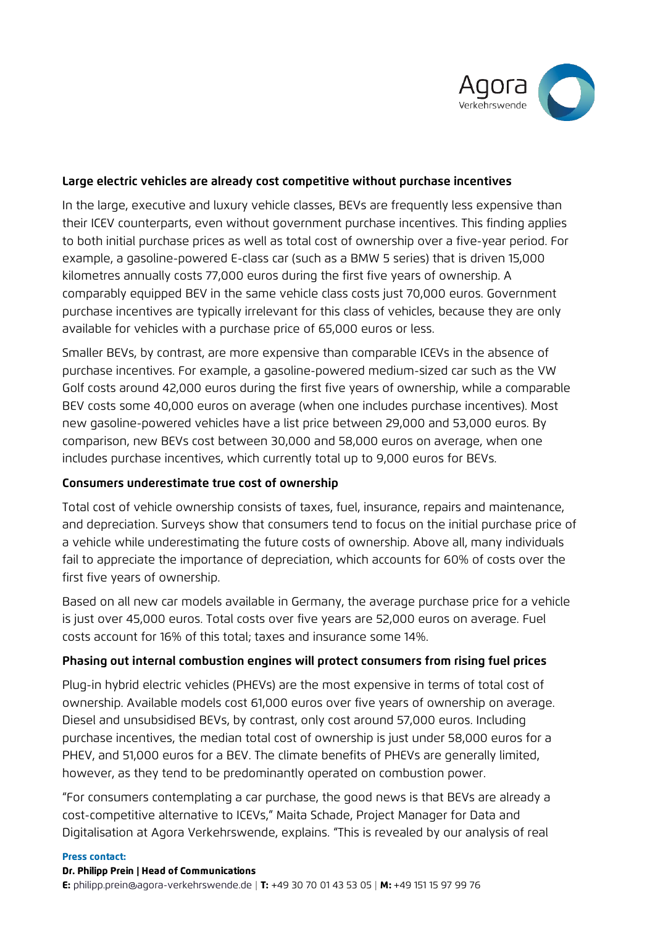

#### **Large electric vehicles are already cost competitive without purchase incentives**

In the large, executive and luxury vehicle classes, BEVs are frequently less expensive than their ICEV counterparts, even without government purchase incentives. This finding applies to both initial purchase prices as well as total cost of ownership over a five-year period. For example, a gasoline-powered E-class car (such as a BMW 5 series) that is driven 15,000 kilometres annually costs 77,000 euros during the first five years of ownership. A comparably equipped BEV in the same vehicle class costs just 70,000 euros. Government purchase incentives are typically irrelevant for this class of vehicles, because they are only available for vehicles with a purchase price of 65,000 euros or less.

Smaller BEVs, by contrast, are more expensive than comparable ICEVs in the absence of purchase incentives. For example, a gasoline-powered medium-sized car such as the VW Golf costs around 42,000 euros during the first five years of ownership, while a comparable BEV costs some 40,000 euros on average (when one includes purchase incentives). Most new gasoline-powered vehicles have a list price between 29,000 and 53,000 euros. By comparison, new BEVs cost between 30,000 and 58,000 euros on average, when one includes purchase incentives, which currently total up to 9,000 euros for BEVs.

#### **Consumers underestimate true cost of ownership**

Total cost of vehicle ownership consists of taxes, fuel, insurance, repairs and maintenance, and depreciation. Surveys show that consumers tend to focus on the initial purchase price of a vehicle while underestimating the future costs of ownership. Above all, many individuals fail to appreciate the importance of depreciation, which accounts for 60% of costs over the first five years of ownership.

Based on all new car models available in Germany, the average purchase price for a vehicle is just over 45,000 euros. Total costs over five years are 52,000 euros on average. Fuel costs account for 16% of this total; taxes and insurance some 14%.

## **Phasing out internal combustion engines will protect consumers from rising fuel prices**

Plug-in hybrid electric vehicles (PHEVs) are the most expensive in terms of total cost of ownership. Available models cost 61,000 euros over five years of ownership on average. Diesel and unsubsidised BEVs, by contrast, only cost around 57,000 euros. Including purchase incentives, the median total cost of ownership is just under 58,000 euros for a PHEV, and 51,000 euros for a BEV. The climate benefits of PHEVs are generally limited, however, as they tend to be predominantly operated on combustion power.

"For consumers contemplating a car purchase, the good news is that BEVs are already a cost-competitive alternative to ICEVs," Maita Schade, Project Manager for Data and Digitalisation at Agora Verkehrswende, explains. "This is revealed by our analysis of real

#### Press contact:

#### Dr. Philipp Prein | Head of Communications

E: [philipp.prein@agora-verkehrswende.de](mailto:fritz.vorholz@agora-verkehrswende.de?subject=Press%20Release) | T: +49 30 70 01 43 53 05 | M: +49 151 15 97 99 76